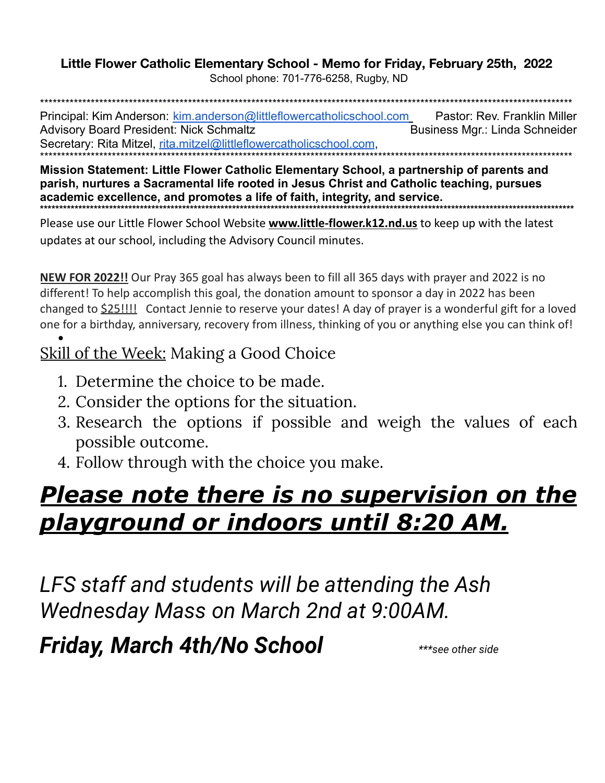## Little Flower Catholic Elementary School - Memo for Friday, February 25th, 2022

School phone: 701-776-6258, Rugby, ND

Principal: Kim Anderson: kim.anderson@littleflowercatholicschool.com Pastor: Rev. Franklin Miller **Advisory Board President: Nick Schmaltz** Business Mgr.: Linda Schneider Secretary: Rita Mitzel, rita.mitzel@littleflowercatholicschool.com,

Mission Statement: Little Flower Catholic Elementary School, a partnership of parents and parish, nurtures a Sacramental life rooted in Jesus Christ and Catholic teaching, pursues academic excellence, and promotes a life of faith, integrity, and service.

Please use our Little Flower School Website **www.little-flower.k12.nd.us** to keep up with the latest updates at our school, including the Advisory Council minutes.

NEW FOR 2022!! Our Pray 365 goal has always been to fill all 365 days with prayer and 2022 is no different! To help accomplish this goal, the donation amount to sponsor a day in 2022 has been changed to **\$25!!!!** Contact Jennie to reserve your dates! A day of prayer is a wonderful gift for a loved one for a birthday, anniversary, recovery from illness, thinking of you or anything else you can think of!

## <u>Skill of the Week:</u> Making a Good Choice

- 1. Determine the choice to be made.
- 2. Consider the options for the situation.
- 3. Research the options if possible and weigh the values of each possible outcome.
- 4. Follow through with the choice you make.

## <u>Please note there is no supervision on the </u> <u>playground or indoors until 8:20 AM.</u>

LFS staff and students will be attending the Ash Wednesday Mass on March 2nd at 9:00AM.

**Friday, March 4th/No School** 

\*\*\*see other side